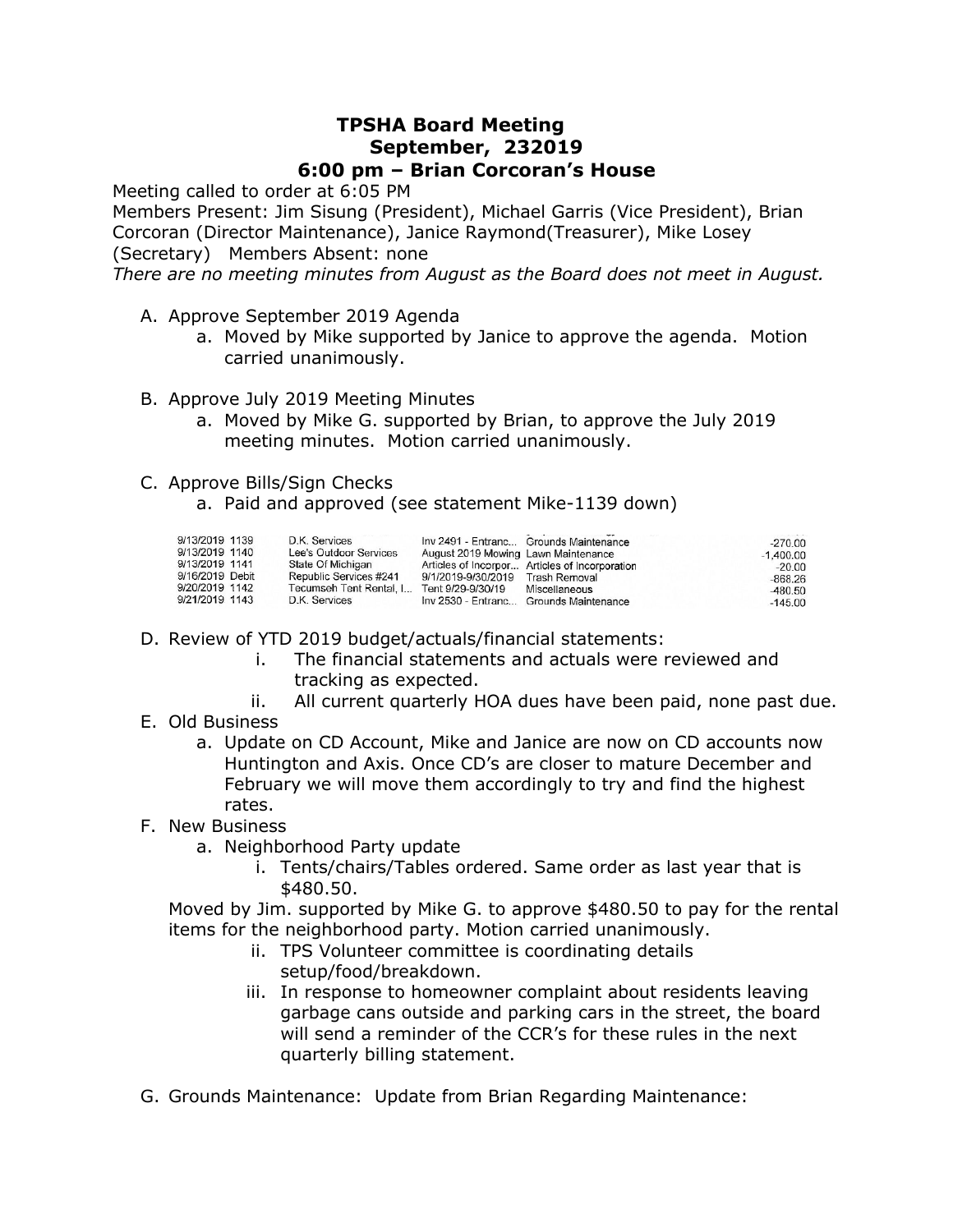## **TPSHA Board Meeting September, 232019 6:00 pm – Brian Corcoran's House**

Meeting called to order at 6:05 PM

Members Present: Jim Sisung (President), Michael Garris (Vice President), Brian Corcoran (Director Maintenance), Janice Raymond(Treasurer), Mike Losey

(Secretary) Members Absent: none

*There are no meeting minutes from August as the Board does not meet in August.*

- A. Approve September 2019 Agenda
	- a. Moved by Mike supported by Janice to approve the agenda. Motion carried unanimously.
- B. Approve July 2019 Meeting Minutes
	- a. Moved by Mike G. supported by Brian, to approve the July 2019 meeting minutes. Motion carried unanimously.
- C. Approve Bills/Sign Checks
	- a. Paid and approved (see statement Mike-1139 down)

| 9/13/2019 1139<br>9/13/2019 1140                                      | D.K. Services<br>Lee's Outdoor Services                                                 | August 2019 Mowing Lawn Maintenance                   | Inv 2491 - Entranc Grounds Maintenance                                                                    | $-270.00$<br>$-1,400.00$                        |
|-----------------------------------------------------------------------|-----------------------------------------------------------------------------------------|-------------------------------------------------------|-----------------------------------------------------------------------------------------------------------|-------------------------------------------------|
| 9/13/2019 1141<br>9/16/2019 Debit<br>9/20/2019 1142<br>9/21/2019 1143 | State Of Michigan<br>Republic Services #241<br>Tecumseh Tent Rental, I<br>D.K. Services | 9/1/2019-9/30/2019 Trash Removal<br>Tent 9/29-9/30/19 | Articles of Incorpor Articles of Incorporation<br>Miscellaneous<br>Inv 2530 - Entranc Grounds Maintenance | $-20.00$<br>$-868.26$<br>$-480.50$<br>$-145.00$ |

- D. Review of YTD 2019 budget/actuals/financial statements:
	- i. The financial statements and actuals were reviewed and tracking as expected.
	- ii. All current quarterly HOA dues have been paid, none past due.
- E. Old Business
	- a. Update on CD Account, Mike and Janice are now on CD accounts now Huntington and Axis. Once CD's are closer to mature December and February we will move them accordingly to try and find the highest rates.
- F. New Business
	- a. Neighborhood Party update
		- i. Tents/chairs/Tables ordered. Same order as last year that is \$480.50.

Moved by Jim. supported by Mike G. to approve \$480.50 to pay for the rental items for the neighborhood party. Motion carried unanimously.

- ii. TPS Volunteer committee is coordinating details setup/food/breakdown.
- iii. In response to homeowner complaint about residents leaving garbage cans outside and parking cars in the street, the board will send a reminder of the CCR's for these rules in the next quarterly billing statement.
- G. Grounds Maintenance: Update from Brian Regarding Maintenance: